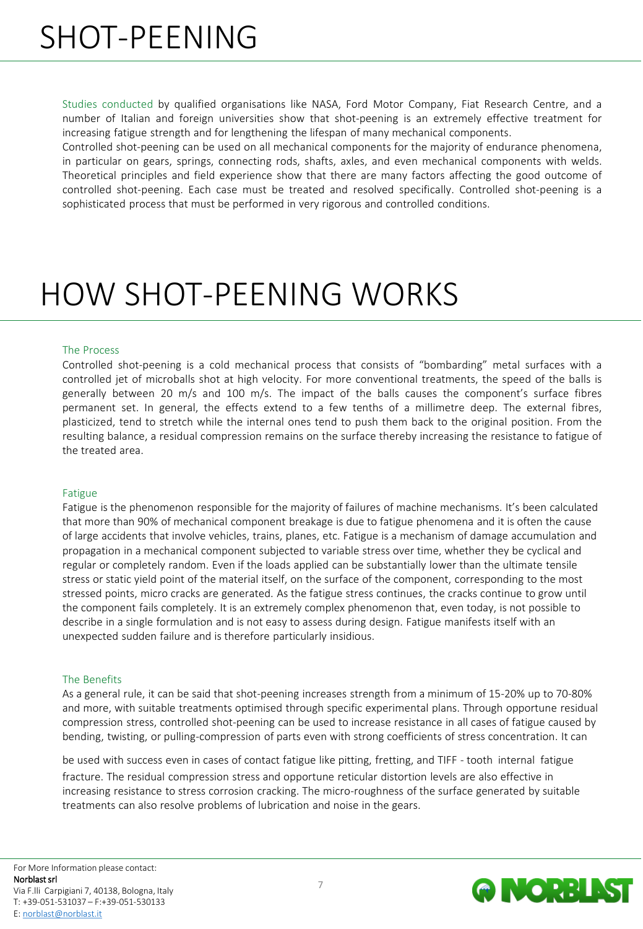# SHOT-PEENING

Studies conducted by qualified organisations like NASA, Ford Motor Company, Fiat Research Centre, and a number of Italian and foreign universities show that shot-peening is an extremely effective treatment for increasing fatigue strength and for lengthening the lifespan of many mechanical components.

Controlled shot-peening can be used on all mechanical components for the majority of endurance phenomena, in particular on gears, springs, connecting rods, shafts, axles, and even mechanical components with welds. Theoretical principles and field experience show that there are many factors affecting the good outcome of controlled shot-peening. Each case must be treated and resolved specifically. Controlled shot-peening is a sophisticated process that must be performed in very rigorous and controlled conditions.

## HOW SHOT-PEENING WORKS

### The Process

Controlled shot-peening is a cold mechanical process that consists of "bombarding" metal surfaces with a controlled jet of microballs shot at high velocity. For more conventional treatments, the speed of the balls is generally between 20 m/s and 100 m/s. The impact of the balls causes the component's surface fibres permanent set. In general, the effects extend to a few tenths of a millimetre deep. The external fibres, plasticized, tend to stretch while the internal ones tend to push them back to the original position. From the resulting balance, a residual compression remains on the surface thereby increasing the resistance to fatigue of the treated area.

#### Fatigue

Fatigue is the phenomenon responsible for the majority of failures of machine mechanisms. It's been calculated that more than 90% of mechanical component breakage is due to fatigue phenomena and it is often the cause of large accidents that involve vehicles, trains, planes, etc. Fatigue is a mechanism of damage accumulation and propagation in a mechanical component subjected to variable stress over time, whether they be cyclical and regular or completely random. Even if the loads applied can be substantially lower than the ultimate tensile stress or static yield point of the material itself, on the surface of the component, corresponding to the most stressed points, micro cracks are generated. As the fatigue stress continues, the cracks continue to grow until the component fails completely. It is an extremely complex phenomenon that, even today, is not possible to describe in a single formulation and is not easy to assess during design. Fatigue manifests itself with an unexpected sudden failure and is therefore particularly insidious.

#### The Benefits

As a general rule, it can be said that shot-peening increases strength from a minimum of 15-20% up to 70-80% and more, with suitable treatments optimised through specific experimental plans. Through opportune residual compression stress, controlled shot-peening can be used to increase resistance in all cases of fatigue caused by bending, twisting, or pulling-compression of parts even with strong coefficients of stress concentration. It can

be used with success even in cases of contact fatigue like pitting, fretting, and TIFF - tooth internal fatigue fracture. The residual compression stress and opportune reticular distortion levels are also effective in increasing resistance to stress corrosion cracking. The micro-roughness of the surface generated by suitable treatments can also resolve problems of lubrication and noise in the gears.

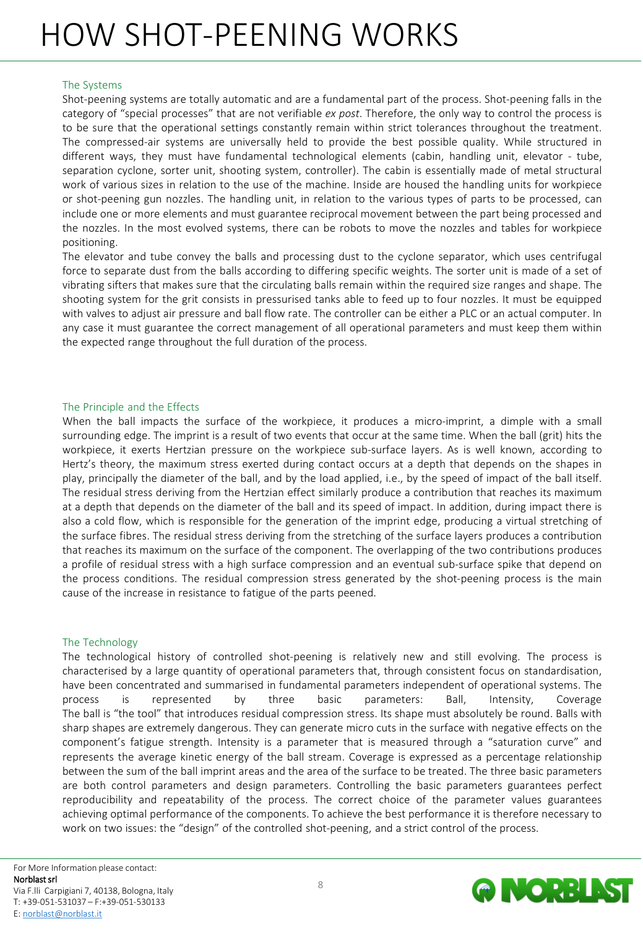## HOW SHOT-PEENING WORKS

## The Systems

Shot-peening systems are totally automatic and are a fundamental part of the process. Shot-peening falls in the category of "special processes" that are not verifiable *ex post*. Therefore, the only way to control the process is to be sure that the operational settings constantly remain within strict tolerances throughout the treatment. The compressed-air systems are universally held to provide the best possible quality. While structured in different ways, they must have fundamental technological elements (cabin, handling unit, elevator - tube, separation cyclone, sorter unit, shooting system, controller). The cabin is essentially made of metal structural work of various sizes in relation to the use of the machine. Inside are housed the handling units for workpiece or shot-peening gun nozzles. The handling unit, in relation to the various types of parts to be processed, can include one or more elements and must guarantee reciprocal movement between the part being processed and the nozzles. In the most evolved systems, there can be robots to move the nozzles and tables for workpiece positioning.

The elevator and tube convey the balls and processing dust to the cyclone separator, which uses centrifugal force to separate dust from the balls according to differing specific weights. The sorter unit is made of a set of vibrating sifters that makes sure that the circulating balls remain within the required size ranges and shape. The shooting system for the grit consists in pressurised tanks able to feed up to four nozzles. It must be equipped with valves to adjust air pressure and ball flow rate. The controller can be either a PLC or an actual computer. In any case it must guarantee the correct management of all operational parameters and must keep them within the expected range throughout the full duration of the process.

## The Principle and the Effects

When the ball impacts the surface of the workpiece, it produces a micro-imprint, a dimple with a small surrounding edge. The imprint is a result of two events that occur at the same time. When the ball (grit) hits the workpiece, it exerts Hertzian pressure on the workpiece sub-surface layers. As is well known, according to Hertz's theory, the maximum stress exerted during contact occurs at a depth that depends on the shapes in play, principally the diameter of the ball, and by the load applied, i.e., by the speed of impact of the ball itself. The residual stress deriving from the Hertzian effect similarly produce a contribution that reaches its maximum at a depth that depends on the diameter of the ball and its speed of impact. In addition, during impact there is also a cold flow, which is responsible for the generation of the imprint edge, producing a virtual stretching of the surface fibres. The residual stress deriving from the stretching of the surface layers produces a contribution that reaches its maximum on the surface of the component. The overlapping of the two contributions produces a profile of residual stress with a high surface compression and an eventual sub-surface spike that depend on the process conditions. The residual compression stress generated by the shot-peening process is the main cause of the increase in resistance to fatigue of the parts peened.

### The Technology

The technological history of controlled shot-peening is relatively new and still evolving. The process is characterised by a large quantity of operational parameters that, through consistent focus on standardisation, have been concentrated and summarised in fundamental parameters independent of operational systems. The process is represented by three basic parameters: Ball, Intensity, Coverage The ball is "the tool" that introduces residual compression stress. Its shape must absolutely be round. Balls with sharp shapes are extremely dangerous. They can generate micro cuts in the surface with negative effects on the component's fatigue strength. Intensity is a parameter that is measured through a "saturation curve" and represents the average kinetic energy of the ball stream. Coverage is expressed as a percentage relationship between the sum of the ball imprint areas and the area of the surface to be treated. The three basic parameters are both control parameters and design parameters. Controlling the basic parameters guarantees perfect reproducibility and repeatability of the process. The correct choice of the parameter values guarantees achieving optimal performance of the components. To achieve the best performance it is therefore necessary to work on two issues: the "design" of the controlled shot-peening, and a strict control of the process.